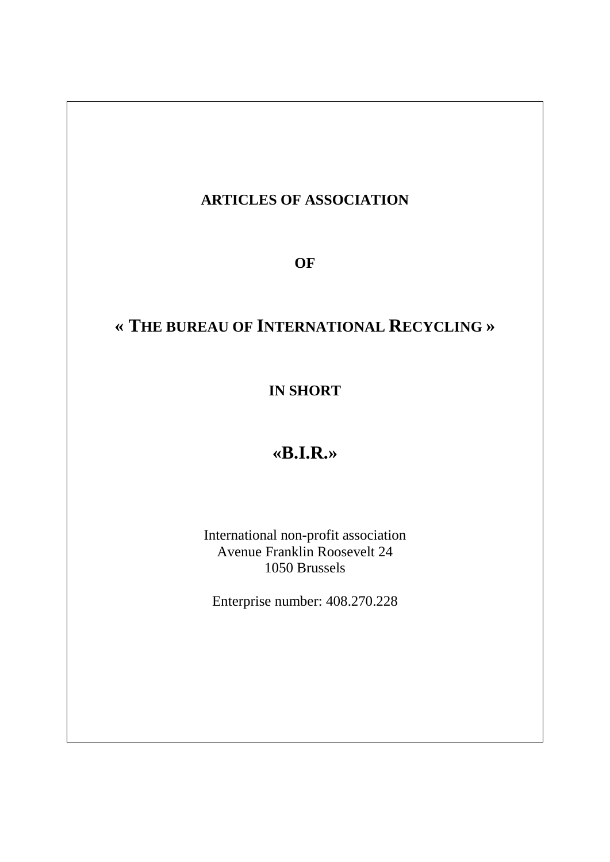## **ARTICLES OF ASSOCIATION**

**OF**

# **« THE BUREAU OF INTERNATIONAL RECYCLING »**

## **IN SHORT**

# **«B.I.R.»**

International non-profit association Avenue Franklin Roosevelt 24 1050 Brussels

Enterprise number: 408.270.228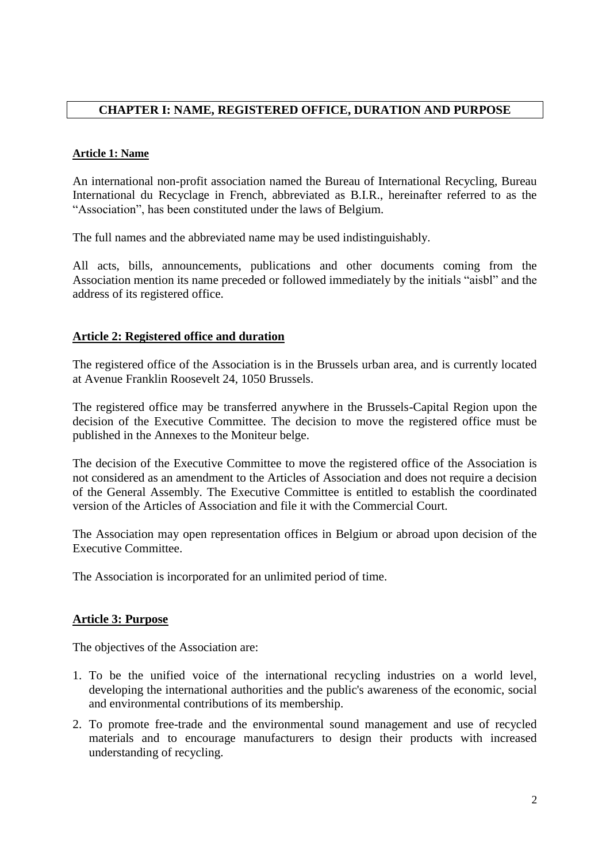## **CHAPTER I: NAME, REGISTERED OFFICE, DURATION AND PURPOSE**

#### **Article 1: Name**

An international non-profit association named the Bureau of International Recycling, Bureau International du Recyclage in French, abbreviated as B.I.R., hereinafter referred to as the "Association", has been constituted under the laws of Belgium.

The full names and the abbreviated name may be used indistinguishably.

All acts, bills, announcements, publications and other documents coming from the Association mention its name preceded or followed immediately by the initials "aisbl" and the address of its registered office.

## **Article 2: Registered office and duration**

The registered office of the Association is in the Brussels urban area, and is currently located at Avenue Franklin Roosevelt 24, 1050 Brussels.

The registered office may be transferred anywhere in the Brussels-Capital Region upon the decision of the Executive Committee. The decision to move the registered office must be published in the Annexes to the Moniteur belge.

The decision of the Executive Committee to move the registered office of the Association is not considered as an amendment to the Articles of Association and does not require a decision of the General Assembly. The Executive Committee is entitled to establish the coordinated version of the Articles of Association and file it with the Commercial Court.

The Association may open representation offices in Belgium or abroad upon decision of the Executive Committee.

The Association is incorporated for an unlimited period of time.

#### **Article 3: Purpose**

The objectives of the Association are:

- 1. To be the unified voice of the international recycling industries on a world level, developing the international authorities and the public's awareness of the economic, social and environmental contributions of its membership.
- 2. To promote free-trade and the environmental sound management and use of recycled materials and to encourage manufacturers to design their products with increased understanding of recycling.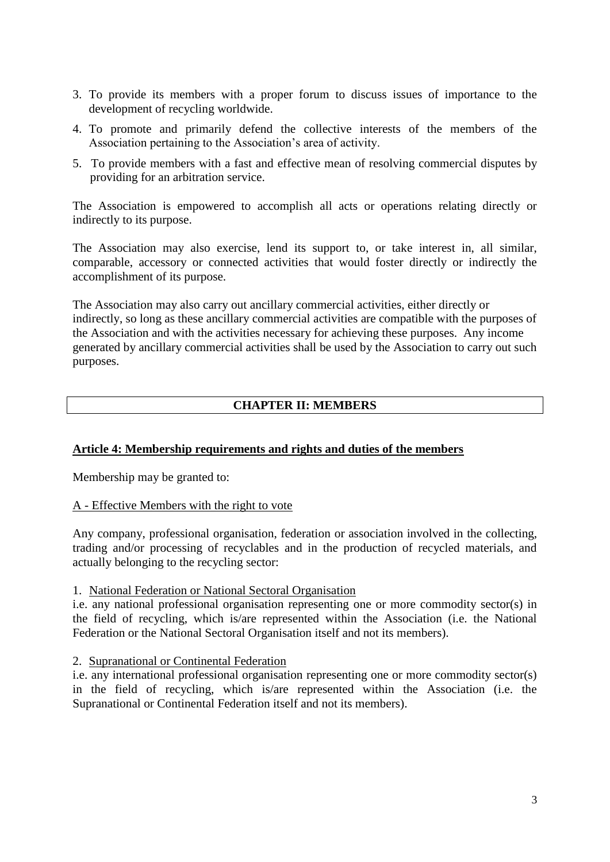- 3. To provide its members with a proper forum to discuss issues of importance to the development of recycling worldwide.
- 4. To promote and primarily defend the collective interests of the members of the Association pertaining to the Association's area of activity.
- 5. To provide members with a fast and effective mean of resolving commercial disputes by providing for an arbitration service.

The Association is empowered to accomplish all acts or operations relating directly or indirectly to its purpose.

The Association may also exercise, lend its support to, or take interest in, all similar, comparable, accessory or connected activities that would foster directly or indirectly the accomplishment of its purpose.

The Association may also carry out ancillary commercial activities, either directly or indirectly, so long as these ancillary commercial activities are compatible with the purposes of the Association and with the activities necessary for achieving these purposes. Any income generated by ancillary commercial activities shall be used by the Association to carry out such purposes.

## **CHAPTER II: MEMBERS**

## **Article 4: Membership requirements and rights and duties of the members**

Membership may be granted to:

#### A - Effective Members with the right to vote

Any company, professional organisation, federation or association involved in the collecting, trading and/or processing of recyclables and in the production of recycled materials, and actually belonging to the recycling sector:

#### 1. National Federation or National Sectoral Organisation

i.e. any national professional organisation representing one or more commodity sector(s) in the field of recycling, which is/are represented within the Association (i.e. the National Federation or the National Sectoral Organisation itself and not its members).

#### 2. Supranational or Continental Federation

i.e. any international professional organisation representing one or more commodity sector(s) in the field of recycling, which is/are represented within the Association (i.e. the Supranational or Continental Federation itself and not its members).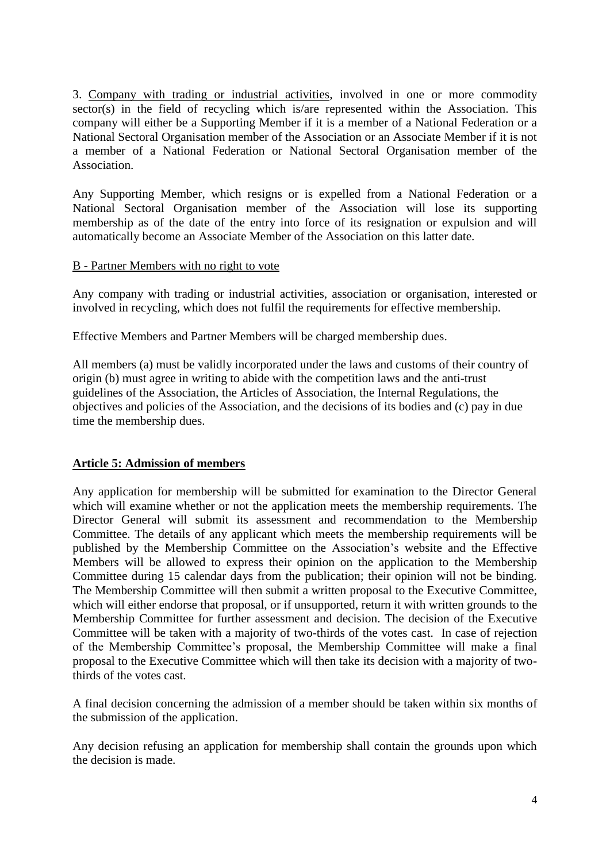3. Company with trading or industrial activities, involved in one or more commodity sector(s) in the field of recycling which is/are represented within the Association. This company will either be a Supporting Member if it is a member of a National Federation or a National Sectoral Organisation member of the Association or an Associate Member if it is not a member of a National Federation or National Sectoral Organisation member of the Association.

Any Supporting Member, which resigns or is expelled from a National Federation or a National Sectoral Organisation member of the Association will lose its supporting membership as of the date of the entry into force of its resignation or expulsion and will automatically become an Associate Member of the Association on this latter date.

#### B - Partner Members with no right to vote

Any company with trading or industrial activities, association or organisation, interested or involved in recycling, which does not fulfil the requirements for effective membership.

Effective Members and Partner Members will be charged membership dues.

All members (a) must be validly incorporated under the laws and customs of their country of origin (b) must agree in writing to abide with the competition laws and the anti-trust guidelines of the Association, the Articles of Association, the Internal Regulations, the objectives and policies of the Association, and the decisions of its bodies and (c) pay in due time the membership dues.

## **Article 5: Admission of members**

Any application for membership will be submitted for examination to the Director General which will examine whether or not the application meets the membership requirements. The Director General will submit its assessment and recommendation to the Membership Committee. The details of any applicant which meets the membership requirements will be published by the Membership Committee on the Association's website and the Effective Members will be allowed to express their opinion on the application to the Membership Committee during 15 calendar days from the publication; their opinion will not be binding. The Membership Committee will then submit a written proposal to the Executive Committee, which will either endorse that proposal, or if unsupported, return it with written grounds to the Membership Committee for further assessment and decision. The decision of the Executive Committee will be taken with a majority of two-thirds of the votes cast. In case of rejection of the Membership Committee's proposal, the Membership Committee will make a final proposal to the Executive Committee which will then take its decision with a majority of twothirds of the votes cast.

A final decision concerning the admission of a member should be taken within six months of the submission of the application.

Any decision refusing an application for membership shall contain the grounds upon which the decision is made.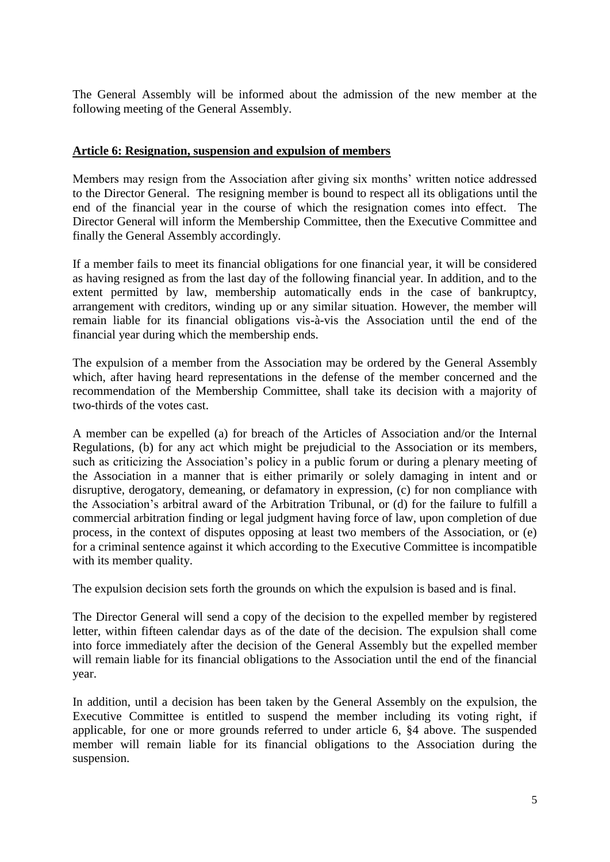The General Assembly will be informed about the admission of the new member at the following meeting of the General Assembly.

#### **Article 6: Resignation, suspension and expulsion of members**

Members may resign from the Association after giving six months' written notice addressed to the Director General. The resigning member is bound to respect all its obligations until the end of the financial year in the course of which the resignation comes into effect. The Director General will inform the Membership Committee, then the Executive Committee and finally the General Assembly accordingly.

If a member fails to meet its financial obligations for one financial year, it will be considered as having resigned as from the last day of the following financial year. In addition, and to the extent permitted by law, membership automatically ends in the case of bankruptcy, arrangement with creditors, winding up or any similar situation. However, the member will remain liable for its financial obligations vis-à-vis the Association until the end of the financial year during which the membership ends.

The expulsion of a member from the Association may be ordered by the General Assembly which, after having heard representations in the defense of the member concerned and the recommendation of the Membership Committee, shall take its decision with a majority of two-thirds of the votes cast.

A member can be expelled (a) for breach of the Articles of Association and/or the Internal Regulations, (b) for any act which might be prejudicial to the Association or its members, such as criticizing the Association's policy in a public forum or during a plenary meeting of the Association in a manner that is either primarily or solely damaging in intent and or disruptive, derogatory, demeaning, or defamatory in expression, (c) for non compliance with the Association's arbitral award of the Arbitration Tribunal, or (d) for the failure to fulfill a commercial arbitration finding or legal judgment having force of law, upon completion of due process, in the context of disputes opposing at least two members of the Association, or (e) for a criminal sentence against it which according to the Executive Committee is incompatible with its member quality.

The expulsion decision sets forth the grounds on which the expulsion is based and is final.

The Director General will send a copy of the decision to the expelled member by registered letter, within fifteen calendar days as of the date of the decision. The expulsion shall come into force immediately after the decision of the General Assembly but the expelled member will remain liable for its financial obligations to the Association until the end of the financial year.

In addition, until a decision has been taken by the General Assembly on the expulsion, the Executive Committee is entitled to suspend the member including its voting right, if applicable, for one or more grounds referred to under article 6, §4 above. The suspended member will remain liable for its financial obligations to the Association during the suspension.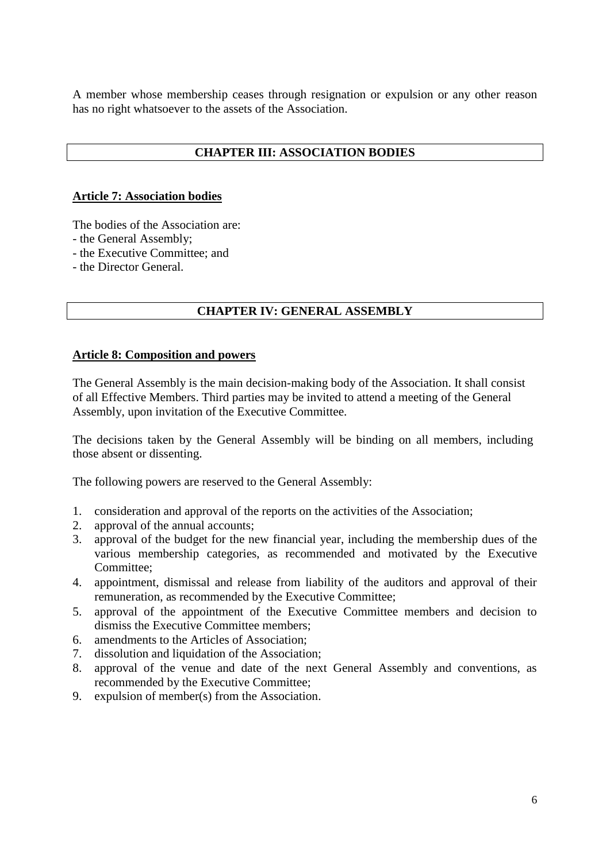A member whose membership ceases through resignation or expulsion or any other reason has no right whatsoever to the assets of the Association.

## **CHAPTER III: ASSOCIATION BODIES**

#### **Article 7: Association bodies**

The bodies of the Association are:

- the General Assembly;
- the Executive Committee; and
- the Director General.

## **CHAPTER IV: GENERAL ASSEMBLY**

#### **Article 8: Composition and powers**

The General Assembly is the main decision-making body of the Association. It shall consist of all Effective Members. Third parties may be invited to attend a meeting of the General Assembly, upon invitation of the Executive Committee.

The decisions taken by the General Assembly will be binding on all members, including those absent or dissenting.

The following powers are reserved to the General Assembly:

- 1. consideration and approval of the reports on the activities of the Association;
- 2. approval of the annual accounts;
- 3. approval of the budget for the new financial year, including the membership dues of the various membership categories, as recommended and motivated by the Executive Committee;
- 4. appointment, dismissal and release from liability of the auditors and approval of their remuneration, as recommended by the Executive Committee;
- 5. approval of the appointment of the Executive Committee members and decision to dismiss the Executive Committee members;
- 6. amendments to the Articles of Association;
- 7. dissolution and liquidation of the Association;
- 8. approval of the venue and date of the next General Assembly and conventions, as recommended by the Executive Committee;
- 9. expulsion of member(s) from the Association.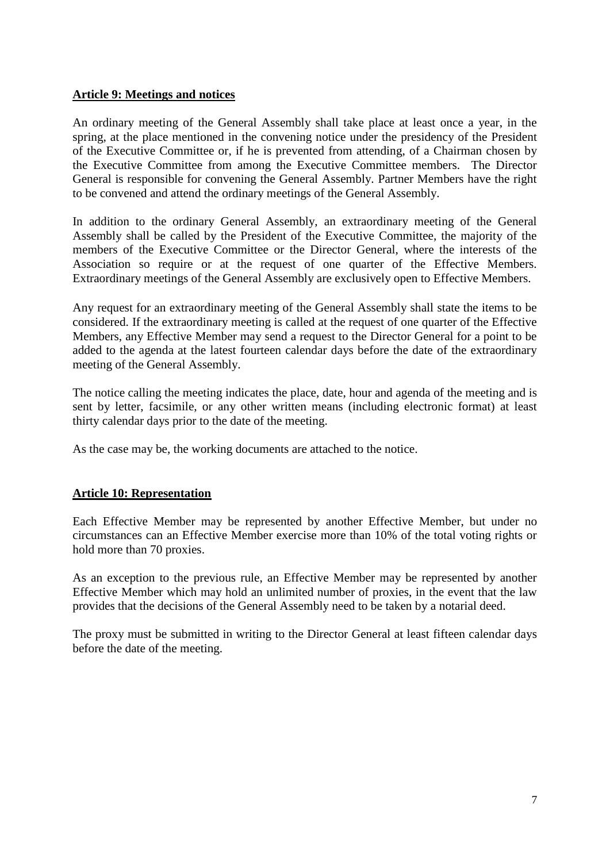### **Article 9: Meetings and notices**

An ordinary meeting of the General Assembly shall take place at least once a year, in the spring, at the place mentioned in the convening notice under the presidency of the President of the Executive Committee or, if he is prevented from attending, of a Chairman chosen by the Executive Committee from among the Executive Committee members. The Director General is responsible for convening the General Assembly. Partner Members have the right to be convened and attend the ordinary meetings of the General Assembly.

In addition to the ordinary General Assembly, an extraordinary meeting of the General Assembly shall be called by the President of the Executive Committee, the majority of the members of the Executive Committee or the Director General, where the interests of the Association so require or at the request of one quarter of the Effective Members. Extraordinary meetings of the General Assembly are exclusively open to Effective Members.

Any request for an extraordinary meeting of the General Assembly shall state the items to be considered. If the extraordinary meeting is called at the request of one quarter of the Effective Members, any Effective Member may send a request to the Director General for a point to be added to the agenda at the latest fourteen calendar days before the date of the extraordinary meeting of the General Assembly.

The notice calling the meeting indicates the place, date, hour and agenda of the meeting and is sent by letter, facsimile, or any other written means (including electronic format) at least thirty calendar days prior to the date of the meeting.

As the case may be, the working documents are attached to the notice.

## **Article 10: Representation**

Each Effective Member may be represented by another Effective Member, but under no circumstances can an Effective Member exercise more than 10% of the total voting rights or hold more than 70 proxies.

As an exception to the previous rule, an Effective Member may be represented by another Effective Member which may hold an unlimited number of proxies, in the event that the law provides that the decisions of the General Assembly need to be taken by a notarial deed.

The proxy must be submitted in writing to the Director General at least fifteen calendar days before the date of the meeting.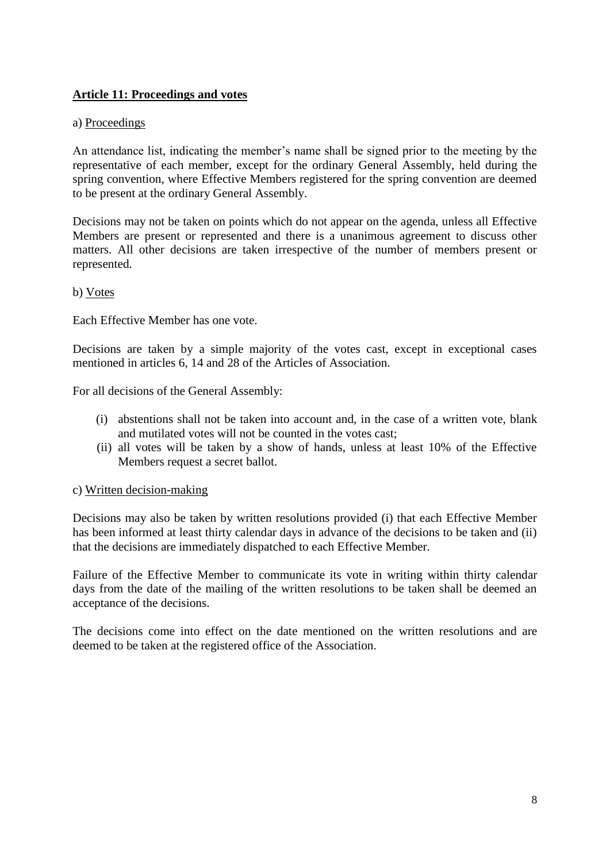## **Article 11: Proceedings and votes**

#### a) Proceedings

An attendance list, indicating the member's name shall be signed prior to the meeting by the representative of each member, except for the ordinary General Assembly, held during the spring convention, where Effective Members registered for the spring convention are deemed to be present at the ordinary General Assembly.

Decisions may not be taken on points which do not appear on the agenda, unless all Effective Members are present or represented and there is a unanimous agreement to discuss other matters. All other decisions are taken irrespective of the number of members present or represented.

#### b) Votes

Each Effective Member has one vote.

Decisions are taken by a simple majority of the votes cast, except in exceptional cases mentioned in articles 6, 14 and 28 of the Articles of Association.

For all decisions of the General Assembly:

- (i) abstentions shall not be taken into account and, in the case of a written vote, blank and mutilated votes will not be counted in the votes cast;
- (ii) all votes will be taken by a show of hands, unless at least 10% of the Effective Members request a secret ballot.

#### c) Written decision-making

Decisions may also be taken by written resolutions provided (i) that each Effective Member has been informed at least thirty calendar days in advance of the decisions to be taken and (ii) that the decisions are immediately dispatched to each Effective Member.

Failure of the Effective Member to communicate its vote in writing within thirty calendar days from the date of the mailing of the written resolutions to be taken shall be deemed an acceptance of the decisions.

The decisions come into effect on the date mentioned on the written resolutions and are deemed to be taken at the registered office of the Association.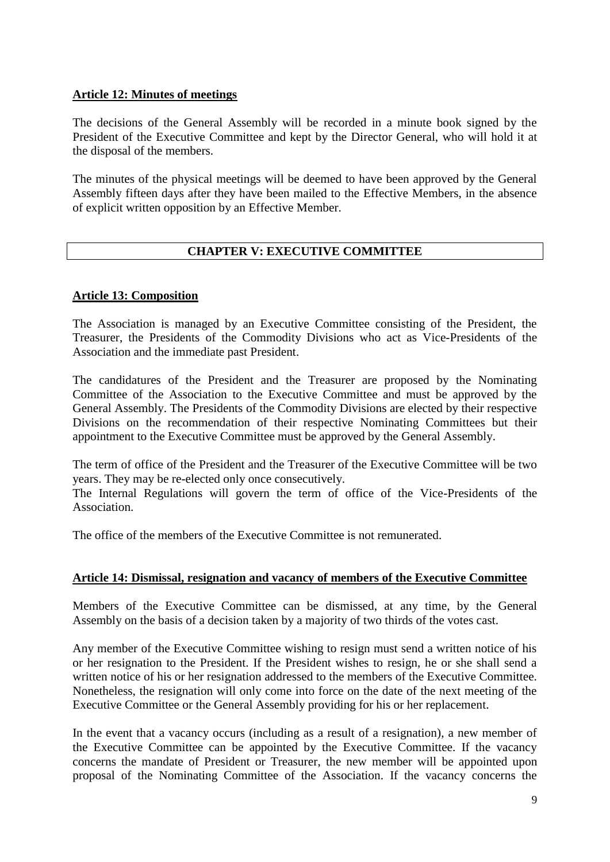## **Article 12: Minutes of meetings**

The decisions of the General Assembly will be recorded in a minute book signed by the President of the Executive Committee and kept by the Director General, who will hold it at the disposal of the members.

The minutes of the physical meetings will be deemed to have been approved by the General Assembly fifteen days after they have been mailed to the Effective Members, in the absence of explicit written opposition by an Effective Member.

## **CHAPTER V: EXECUTIVE COMMITTEE**

## **Article 13: Composition**

The Association is managed by an Executive Committee consisting of the President, the Treasurer, the Presidents of the Commodity Divisions who act as Vice-Presidents of the Association and the immediate past President.

The candidatures of the President and the Treasurer are proposed by the Nominating Committee of the Association to the Executive Committee and must be approved by the General Assembly. The Presidents of the Commodity Divisions are elected by their respective Divisions on the recommendation of their respective Nominating Committees but their appointment to the Executive Committee must be approved by the General Assembly.

The term of office of the President and the Treasurer of the Executive Committee will be two years. They may be re-elected only once consecutively.

The Internal Regulations will govern the term of office of the Vice-Presidents of the Association.

The office of the members of the Executive Committee is not remunerated.

## **Article 14: Dismissal, resignation and vacancy of members of the Executive Committee**

Members of the Executive Committee can be dismissed, at any time, by the General Assembly on the basis of a decision taken by a majority of two thirds of the votes cast.

Any member of the Executive Committee wishing to resign must send a written notice of his or her resignation to the President. If the President wishes to resign, he or she shall send a written notice of his or her resignation addressed to the members of the Executive Committee. Nonetheless, the resignation will only come into force on the date of the next meeting of the Executive Committee or the General Assembly providing for his or her replacement.

In the event that a vacancy occurs (including as a result of a resignation), a new member of the Executive Committee can be appointed by the Executive Committee. If the vacancy concerns the mandate of President or Treasurer, the new member will be appointed upon proposal of the Nominating Committee of the Association. If the vacancy concerns the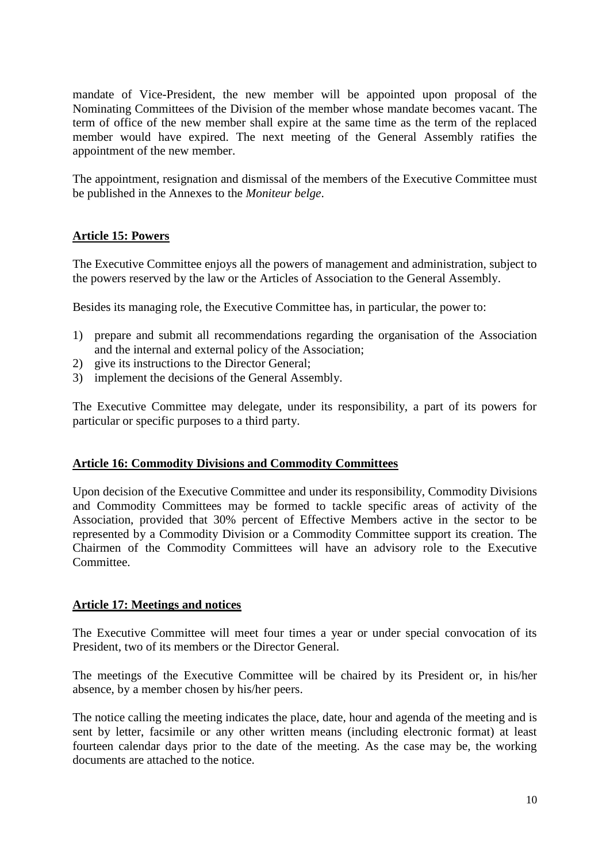mandate of Vice-President, the new member will be appointed upon proposal of the Nominating Committees of the Division of the member whose mandate becomes vacant. The term of office of the new member shall expire at the same time as the term of the replaced member would have expired. The next meeting of the General Assembly ratifies the appointment of the new member.

The appointment, resignation and dismissal of the members of the Executive Committee must be published in the Annexes to the *Moniteur belge*.

## **Article 15: Powers**

The Executive Committee enjoys all the powers of management and administration, subject to the powers reserved by the law or the Articles of Association to the General Assembly.

Besides its managing role, the Executive Committee has, in particular, the power to:

- 1) prepare and submit all recommendations regarding the organisation of the Association and the internal and external policy of the Association;
- 2) give its instructions to the Director General;
- 3) implement the decisions of the General Assembly.

The Executive Committee may delegate, under its responsibility, a part of its powers for particular or specific purposes to a third party.

#### **Article 16: Commodity Divisions and Commodity Committees**

Upon decision of the Executive Committee and under its responsibility, Commodity Divisions and Commodity Committees may be formed to tackle specific areas of activity of the Association, provided that 30% percent of Effective Members active in the sector to be represented by a Commodity Division or a Commodity Committee support its creation. The Chairmen of the Commodity Committees will have an advisory role to the Executive Committee.

#### **Article 17: Meetings and notices**

The Executive Committee will meet four times a year or under special convocation of its President, two of its members or the Director General.

The meetings of the Executive Committee will be chaired by its President or, in his/her absence, by a member chosen by his/her peers.

The notice calling the meeting indicates the place, date, hour and agenda of the meeting and is sent by letter, facsimile or any other written means (including electronic format) at least fourteen calendar days prior to the date of the meeting. As the case may be, the working documents are attached to the notice.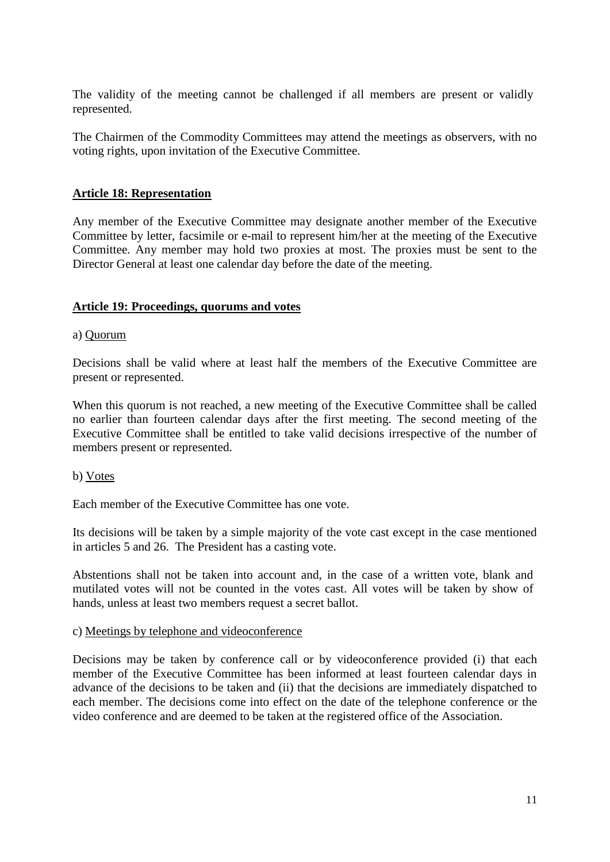The validity of the meeting cannot be challenged if all members are present or validly represented.

The Chairmen of the Commodity Committees may attend the meetings as observers, with no voting rights, upon invitation of the Executive Committee.

#### **Article 18: Representation**

Any member of the Executive Committee may designate another member of the Executive Committee by letter, facsimile or e-mail to represent him/her at the meeting of the Executive Committee. Any member may hold two proxies at most. The proxies must be sent to the Director General at least one calendar day before the date of the meeting.

#### **Article 19: Proceedings, quorums and votes**

#### a) Quorum

Decisions shall be valid where at least half the members of the Executive Committee are present or represented.

When this quorum is not reached, a new meeting of the Executive Committee shall be called no earlier than fourteen calendar days after the first meeting. The second meeting of the Executive Committee shall be entitled to take valid decisions irrespective of the number of members present or represented.

b) Votes

Each member of the Executive Committee has one vote.

Its decisions will be taken by a simple majority of the vote cast except in the case mentioned in articles 5 and 26. The President has a casting vote.

Abstentions shall not be taken into account and, in the case of a written vote, blank and mutilated votes will not be counted in the votes cast. All votes will be taken by show of hands, unless at least two members request a secret ballot.

#### c) Meetings by telephone and videoconference

Decisions may be taken by conference call or by videoconference provided (i) that each member of the Executive Committee has been informed at least fourteen calendar days in advance of the decisions to be taken and (ii) that the decisions are immediately dispatched to each member. The decisions come into effect on the date of the telephone conference or the video conference and are deemed to be taken at the registered office of the Association.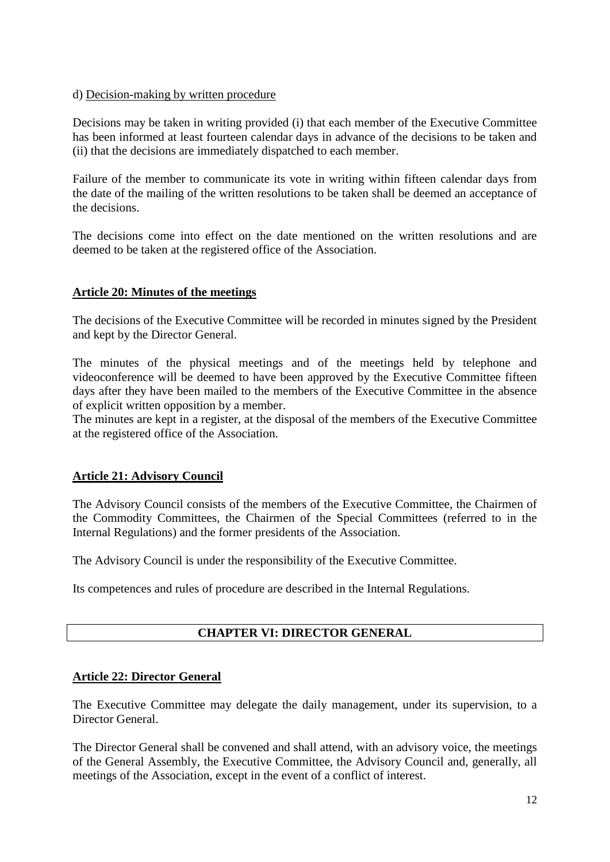#### d) Decision-making by written procedure

Decisions may be taken in writing provided (i) that each member of the Executive Committee has been informed at least fourteen calendar days in advance of the decisions to be taken and (ii) that the decisions are immediately dispatched to each member.

Failure of the member to communicate its vote in writing within fifteen calendar days from the date of the mailing of the written resolutions to be taken shall be deemed an acceptance of the decisions.

The decisions come into effect on the date mentioned on the written resolutions and are deemed to be taken at the registered office of the Association.

#### **Article 20: Minutes of the meetings**

The decisions of the Executive Committee will be recorded in minutes signed by the President and kept by the Director General.

The minutes of the physical meetings and of the meetings held by telephone and videoconference will be deemed to have been approved by the Executive Committee fifteen days after they have been mailed to the members of the Executive Committee in the absence of explicit written opposition by a member.

The minutes are kept in a register, at the disposal of the members of the Executive Committee at the registered office of the Association.

## **Article 21: Advisory Council**

The Advisory Council consists of the members of the Executive Committee, the Chairmen of the Commodity Committees, the Chairmen of the Special Committees (referred to in the Internal Regulations) and the former presidents of the Association.

The Advisory Council is under the responsibility of the Executive Committee.

Its competences and rules of procedure are described in the Internal Regulations.

## **CHAPTER VI: DIRECTOR GENERAL**

## **Article 22: Director General**

The Executive Committee may delegate the daily management, under its supervision, to a Director General.

The Director General shall be convened and shall attend, with an advisory voice, the meetings of the General Assembly, the Executive Committee, the Advisory Council and, generally, all meetings of the Association, except in the event of a conflict of interest.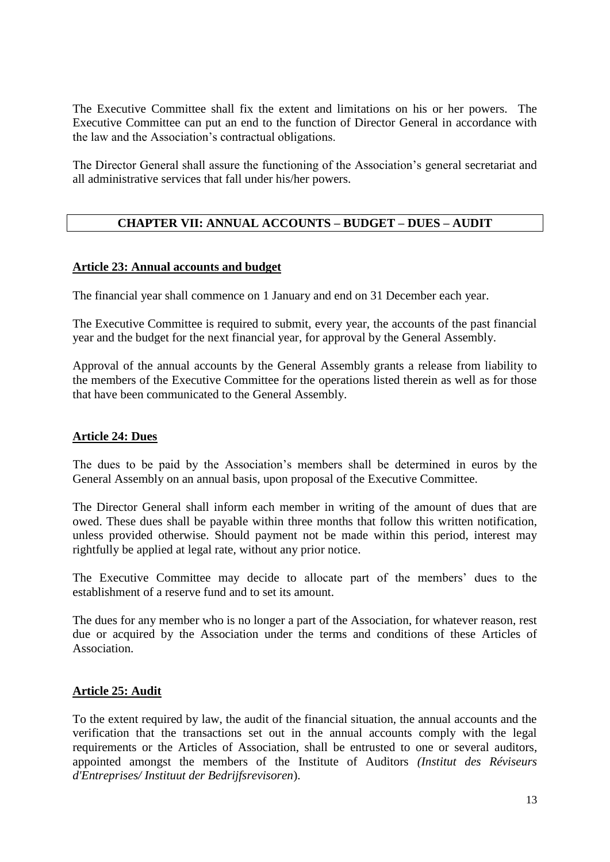The Executive Committee shall fix the extent and limitations on his or her powers. The Executive Committee can put an end to the function of Director General in accordance with the law and the Association's contractual obligations.

The Director General shall assure the functioning of the Association's general secretariat and all administrative services that fall under his/her powers.

## **CHAPTER VII: ANNUAL ACCOUNTS – BUDGET – DUES – AUDIT**

#### **Article 23: Annual accounts and budget**

The financial year shall commence on 1 January and end on 31 December each year.

The Executive Committee is required to submit, every year, the accounts of the past financial year and the budget for the next financial year, for approval by the General Assembly.

Approval of the annual accounts by the General Assembly grants a release from liability to the members of the Executive Committee for the operations listed therein as well as for those that have been communicated to the General Assembly.

### **Article 24: Dues**

The dues to be paid by the Association's members shall be determined in euros by the General Assembly on an annual basis, upon proposal of the Executive Committee.

The Director General shall inform each member in writing of the amount of dues that are owed. These dues shall be payable within three months that follow this written notification, unless provided otherwise. Should payment not be made within this period, interest may rightfully be applied at legal rate, without any prior notice.

The Executive Committee may decide to allocate part of the members' dues to the establishment of a reserve fund and to set its amount.

The dues for any member who is no longer a part of the Association, for whatever reason, rest due or acquired by the Association under the terms and conditions of these Articles of Association.

#### **Article 25: Audit**

To the extent required by law, the audit of the financial situation, the annual accounts and the verification that the transactions set out in the annual accounts comply with the legal requirements or the Articles of Association, shall be entrusted to one or several auditors, appointed amongst the members of the Institute of Auditors *(Institut des Réviseurs d'Entreprises/ Instituut der Bedrijfsrevisoren*).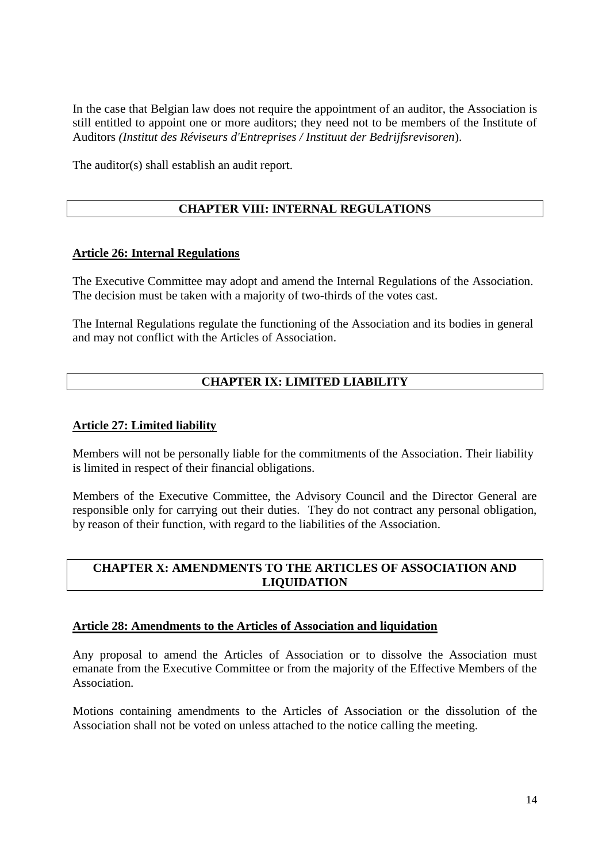In the case that Belgian law does not require the appointment of an auditor, the Association is still entitled to appoint one or more auditors; they need not to be members of the Institute of Auditors *(Institut des Réviseurs d'Entreprises / Instituut der Bedrijfsrevisoren*).

The auditor(s) shall establish an audit report.

## **CHAPTER VIII: INTERNAL REGULATIONS**

#### **Article 26: Internal Regulations**

The Executive Committee may adopt and amend the Internal Regulations of the Association. The decision must be taken with a majority of two-thirds of the votes cast.

The Internal Regulations regulate the functioning of the Association and its bodies in general and may not conflict with the Articles of Association.

## **CHAPTER IX: LIMITED LIABILITY**

#### **Article 27: Limited liability**

Members will not be personally liable for the commitments of the Association. Their liability is limited in respect of their financial obligations.

Members of the Executive Committee, the Advisory Council and the Director General are responsible only for carrying out their duties. They do not contract any personal obligation, by reason of their function, with regard to the liabilities of the Association.

#### **CHAPTER X: AMENDMENTS TO THE ARTICLES OF ASSOCIATION AND LIQUIDATION**

#### **Article 28: Amendments to the Articles of Association and liquidation**

Any proposal to amend the Articles of Association or to dissolve the Association must emanate from the Executive Committee or from the majority of the Effective Members of the Association.

Motions containing amendments to the Articles of Association or the dissolution of the Association shall not be voted on unless attached to the notice calling the meeting.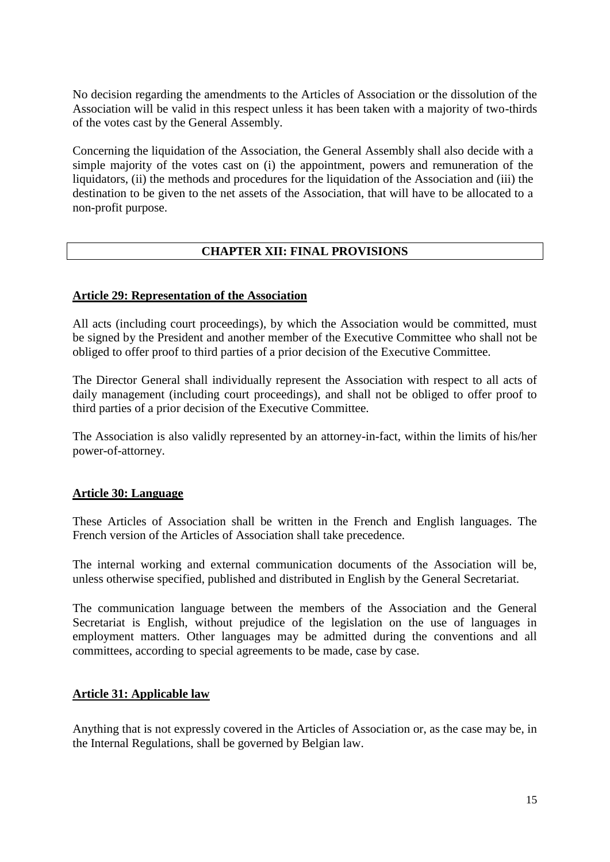No decision regarding the amendments to the Articles of Association or the dissolution of the Association will be valid in this respect unless it has been taken with a majority of two-thirds of the votes cast by the General Assembly.

Concerning the liquidation of the Association, the General Assembly shall also decide with a simple majority of the votes cast on (i) the appointment, powers and remuneration of the liquidators, (ii) the methods and procedures for the liquidation of the Association and (iii) the destination to be given to the net assets of the Association, that will have to be allocated to a non-profit purpose.

## **CHAPTER XII: FINAL PROVISIONS**

#### **Article 29: Representation of the Association**

All acts (including court proceedings), by which the Association would be committed, must be signed by the President and another member of the Executive Committee who shall not be obliged to offer proof to third parties of a prior decision of the Executive Committee.

The Director General shall individually represent the Association with respect to all acts of daily management (including court proceedings), and shall not be obliged to offer proof to third parties of a prior decision of the Executive Committee.

The Association is also validly represented by an attorney-in-fact, within the limits of his/her power-of-attorney.

#### **Article 30: Language**

These Articles of Association shall be written in the French and English languages. The French version of the Articles of Association shall take precedence.

The internal working and external communication documents of the Association will be, unless otherwise specified, published and distributed in English by the General Secretariat.

The communication language between the members of the Association and the General Secretariat is English, without prejudice of the legislation on the use of languages in employment matters. Other languages may be admitted during the conventions and all committees, according to special agreements to be made, case by case.

#### **Article 31: Applicable law**

Anything that is not expressly covered in the Articles of Association or, as the case may be, in the Internal Regulations, shall be governed by Belgian law.